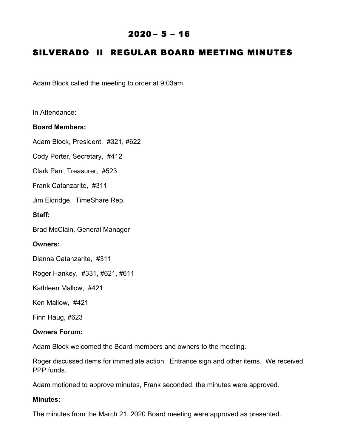# $2020 - 5 - 16$

# SILVERADO II REGULAR BOARD MEETING MINUTES

Adam Block called the meeting to order at 9:03am

In Attendance:

#### **Board Members:**

Adam Block, President, #321, #622

Cody Porter, Secretary, #412

Clark Parr, Treasurer, #523

Frank Catanzarite, #311

Jim Eldridge TimeShare Rep.

#### **Staff:**

Brad McClain, General Manager

#### **Owners:**

Dianna Catanzarite, #311

Roger Hankey, #331, #621, #611

Kathleen Mallow, #421

Ken Mallow, #421

Finn Haug, #623

#### **Owners Forum:**

Adam Block welcomed the Board members and owners to the meeting.

Roger discussed items for immediate action. Entrance sign and other items. We received PPP funds.

Adam motioned to approve minutes, Frank seconded, the minutes were approved.

#### **Minutes:**

The minutes from the March 21, 2020 Board meeting were approved as presented.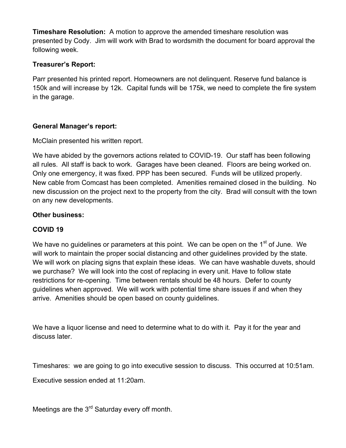**Timeshare Resolution:** A motion to approve the amended timeshare resolution was presented by Cody. Jim will work with Brad to wordsmith the document for board approval the following week.

### **Treasurer's Report:**

Parr presented his printed report. Homeowners are not delinquent. Reserve fund balance is 150k and will increase by 12k. Capital funds will be 175k, we need to complete the fire system in the garage.

### **General Manager's report:**

McClain presented his written report.

We have abided by the governors actions related to COVID-19. Our staff has been following all rules. All staff is back to work. Garages have been cleaned. Floors are being worked on. Only one emergency, it was fixed. PPP has been secured. Funds will be utilized properly. New cable from Comcast has been completed. Amenities remained closed in the building. No new discussion on the project next to the property from the city. Brad will consult with the town on any new developments.

### **Other business:**

## **COVID 19**

We have no guidelines or parameters at this point. We can be open on the  $1<sup>st</sup>$  of June. We will work to maintain the proper social distancing and other guidelines provided by the state. We will work on placing signs that explain these ideas. We can have washable duvets, should we purchase? We will look into the cost of replacing in every unit. Have to follow state restrictions for re-opening. Time between rentals should be 48 hours. Defer to county guidelines when approved. We will work with potential time share issues if and when they arrive. Amenities should be open based on county guidelines.

We have a liquor license and need to determine what to do with it. Pay it for the year and discuss later.

Timeshares: we are going to go into executive session to discuss. This occurred at 10:51am.

Executive session ended at 11:20am.

Meetings are the 3<sup>rd</sup> Saturday every off month.